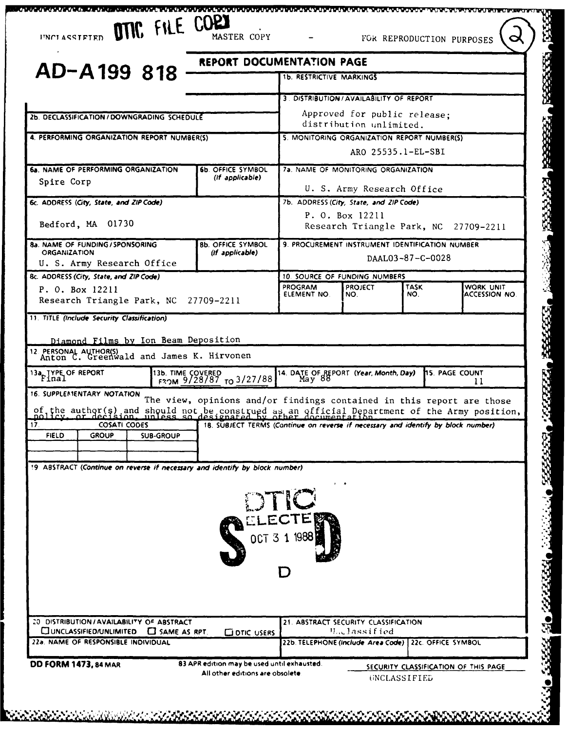| AD-A199 818                                                                                                                                                                                                                                                                                                    | REPORT DOCUMENTATION PAGE                                                         | <b>1b. RESTRICTIVE MARKINGS</b>                             |                                     |                    |                                       |
|----------------------------------------------------------------------------------------------------------------------------------------------------------------------------------------------------------------------------------------------------------------------------------------------------------------|-----------------------------------------------------------------------------------|-------------------------------------------------------------|-------------------------------------|--------------------|---------------------------------------|
|                                                                                                                                                                                                                                                                                                                |                                                                                   | 3. DISTRIBUTION / AVAILABILITY OF REPORT                    |                                     |                    |                                       |
| 2b. DECLASSIFICATION / DOWNGRADING SCHEDULE                                                                                                                                                                                                                                                                    |                                                                                   |                                                             | Approved for public release:        |                    |                                       |
|                                                                                                                                                                                                                                                                                                                |                                                                                   |                                                             | distribution unlimited.             |                    |                                       |
| 4. PERFORMING ORGANIZATION REPORT NUMBER(S)                                                                                                                                                                                                                                                                    |                                                                                   | 5. MONITORING ORGANIZATION REPORT NUMBER(S)                 |                                     | ARO 25535.1-EL-SBI |                                       |
|                                                                                                                                                                                                                                                                                                                |                                                                                   |                                                             |                                     |                    |                                       |
| 6a. NAME OF PERFORMING ORGANIZATION<br>Spire Corp                                                                                                                                                                                                                                                              | <b>6b. OFFICE SYMBOL</b><br>(If applicable)                                       |                                                             | 7a. NAME OF MONITORING ORGANIZATION |                    |                                       |
|                                                                                                                                                                                                                                                                                                                |                                                                                   |                                                             | U. S. Army Research Office          |                    |                                       |
| 6c. ADDRESS (City, State, and ZIP Code)                                                                                                                                                                                                                                                                        |                                                                                   | 7b. ADDRESS (City, State, and ZIP Code)                     |                                     |                    |                                       |
| Bedford, MA 01730                                                                                                                                                                                                                                                                                              |                                                                                   |                                                             | P. O. Box 12211                     |                    | Research Triangle Park, NC 27709-2211 |
| 8a. NAME OF FUNDING / SPONSORING                                                                                                                                                                                                                                                                               | <b>8b. OFFICE SYMBOL</b>                                                          | 9. PROCUREMENT INSTRUMENT IDENTIFICATION NUMBER             |                                     |                    |                                       |
| <b>ORGANIZATION</b>                                                                                                                                                                                                                                                                                            | (If applicable)                                                                   |                                                             |                                     | DAAL03-87-C-0028   |                                       |
| U. S. Army Research Office                                                                                                                                                                                                                                                                                     |                                                                                   |                                                             |                                     |                    |                                       |
| 8c. ADDRESS (City, State, and ZIP Code)<br>P. O. Box 12211                                                                                                                                                                                                                                                     |                                                                                   | 10. SOURCE OF FUNDING NUMBERS<br><b>PROGRAM</b>             | <b>PROJECT</b>                      | <b>TASK</b>        | WORK UNIT                             |
| Research Triangle Park, NC 27709-2211                                                                                                                                                                                                                                                                          |                                                                                   | ELEMENT NO.                                                 | NO.                                 | NO.                | ACCESSION NO.                         |
| 11. TITLE (Include Security Classification)                                                                                                                                                                                                                                                                    |                                                                                   |                                                             |                                     |                    |                                       |
|                                                                                                                                                                                                                                                                                                                |                                                                                   |                                                             |                                     |                    |                                       |
|                                                                                                                                                                                                                                                                                                                |                                                                                   |                                                             |                                     |                    |                                       |
| Diamond Films by Ion Beam Deposition                                                                                                                                                                                                                                                                           |                                                                                   |                                                             |                                     |                    |                                       |
|                                                                                                                                                                                                                                                                                                                |                                                                                   |                                                             |                                     |                    |                                       |
| 13b. TIME COVERED                                                                                                                                                                                                                                                                                              | FROM $9/28/87$ TO 3/27/88                                                         | 14. DATE OF REPORT (Year, Month, Day) 15. PAGE COUNT May 88 |                                     |                    | 11                                    |
|                                                                                                                                                                                                                                                                                                                |                                                                                   |                                                             |                                     |                    |                                       |
|                                                                                                                                                                                                                                                                                                                | The view, opinions and/or findings contained in this report are those             |                                                             |                                     |                    |                                       |
| <b>COSATI CODES</b>                                                                                                                                                                                                                                                                                            | 18. SUBJECT TERMS (Continue on reverse if necessary and identify by block number) |                                                             |                                     |                    |                                       |
| <b>FIELD</b><br><b>GROUP</b><br><b>SUB-GROUP</b>                                                                                                                                                                                                                                                               |                                                                                   |                                                             |                                     |                    |                                       |
|                                                                                                                                                                                                                                                                                                                |                                                                                   |                                                             |                                     |                    |                                       |
|                                                                                                                                                                                                                                                                                                                |                                                                                   |                                                             |                                     |                    |                                       |
|                                                                                                                                                                                                                                                                                                                |                                                                                   |                                                             |                                     |                    |                                       |
|                                                                                                                                                                                                                                                                                                                |                                                                                   |                                                             |                                     |                    |                                       |
| of the author(s) and should not be construed as an official Department of the Army position,                                                                                                                                                                                                                   |                                                                                   | DTIC                                                        |                                     |                    |                                       |
|                                                                                                                                                                                                                                                                                                                |                                                                                   | ELECTE                                                      |                                     |                    |                                       |
|                                                                                                                                                                                                                                                                                                                |                                                                                   | OCT 3 1 1988                                                |                                     |                    |                                       |
|                                                                                                                                                                                                                                                                                                                |                                                                                   |                                                             |                                     |                    |                                       |
|                                                                                                                                                                                                                                                                                                                |                                                                                   |                                                             |                                     |                    |                                       |
|                                                                                                                                                                                                                                                                                                                |                                                                                   |                                                             |                                     |                    |                                       |
|                                                                                                                                                                                                                                                                                                                |                                                                                   |                                                             |                                     |                    |                                       |
|                                                                                                                                                                                                                                                                                                                |                                                                                   | 21. ABSTRACT SECURITY CLASSIFICATION                        |                                     |                    |                                       |
| CUNCLASSIFIED/UNLIMITED C SAME AS RPT.                                                                                                                                                                                                                                                                         | <b>COTIC USERS</b>                                                                |                                                             | <b><i>H.Classified</i></b>          |                    |                                       |
| 12 PERSONAL AUTHOR(S)<br>Anton C. Greenwald and James K. Hirvonen<br>13a TYPE OF REPORT<br>16. SUPPLEMENTARY NOTATION<br>$\overline{17}$ .<br>19 ABSTRACT (Continue on reverse if necessary and identify by block number)<br>20 DISTRIBUTION / AVAILABILITY OF ABSTRACT<br>22a. NAME OF RESPONSIBLE INDIVIDUAL |                                                                                   | 22b. TELEPHONE (Include Area Code) 22c. OFFICE SYMBOL       |                                     |                    |                                       |

A A SA MARKA MARKA MARKA SA SA MARKA MARKA MARKA MARKA MARKA MARKA MARKA MARKA MARKA MARKA MARKA MARKA MARKA M

**MARKA MARKA KA**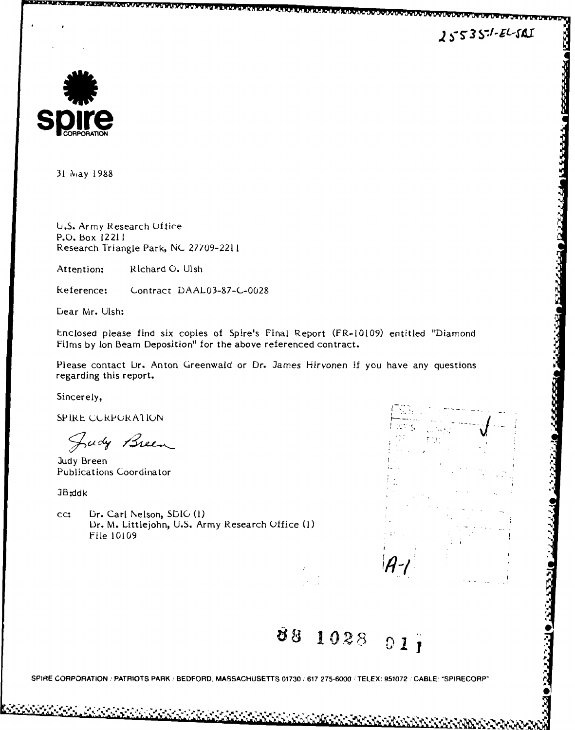**ASSESSMARE** 

**ALBERTARY** 

**RESERVED DESERVATION** 



31 May **1988**

**U.S.** Army Research Office P.O. box 12211 Research Triangle Park, **NC** 27709-2211

Attention: Richard **0.** Ulsh

Reference: Contract DAAL03-87-C-0028

bear Mr. Ulsh:

Enclosed please find six copies of Spire's Final Report (FR-10109) entitled "Diamond Films by Ion Beam Deposition" for the above referenced contract.

Please contact Dr. Anton Greenwald or Dr. James Hirvonen if you have any questions regarding this report.

Sincerely,

**SPIRE CURPURATION** 

Judy Breen

Publications Coordinator

**JB-ddk**

cc: Dr. Carl Nelson, Sb1G **(1)** Dr. M. Littlejohn, U.S. Army Research Office (1) File 10109



**0**

**I8 102 6 12**

**SPIRE CORPORATION:/ PATRIOTS PARK /BEDFORD, MASSACHUSETTS 01730, 617 275-6000 ,"TELEX: 951072 ' CABLE: "SPIRECORP'**

\*.%' ~ ~ %\* 45\*, *4\*',* 45454~5~~~ **.J**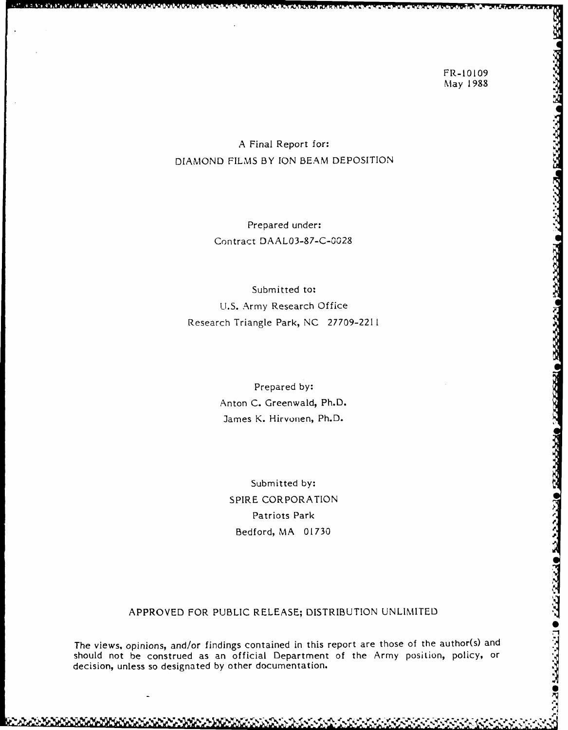# A Final Report for: DIAMOND FILMS BY ION BEAM DEPOSITION

Prepared under: Contract DAAL03-87-C-0028

Submitted to: U.S. Army Research Office Research Triangle Park, NC 27709-221I

> Prepared by: Anton C. Greenwald, Ph.D. James K. Hirvonen, Ph.D.

Submitted **by:** SPIRE CORPORATION Patriots Park Bedford, MA 01730

## APPROVED FOR PUBLIC RELEASE; DISTRIBUTION UNLIMITED

The views, opinions, and/or findings contained in this report are those of the author(s) and should not be construed as an official Department of the Army position, policy, or decision, unless so designated by other documentation.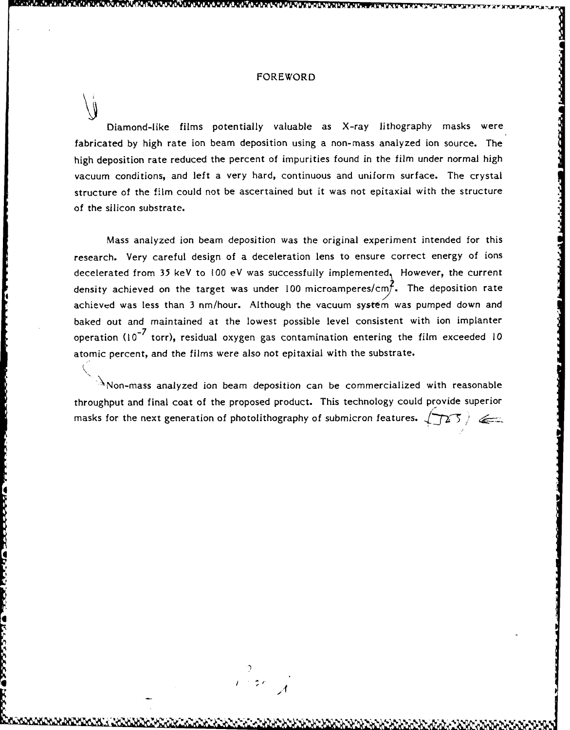#### FOREWORD

Diamond-like films potentially valuable as X-ray lithography masks were fabricated by high rate ion beam deposition using a non-mass analyzed ion source. The high deposition rate reduced the percent of impurities found in the film under normal high vacuum conditions, and left a very hard, continuous and uniform surface. The crystal structure of the film could not be ascertained but it was not epitaxial with the structure of the silicon substrate.

Mass analyzed ion beam deposition was the original experiment intended for this research. Very careful design of a deceleration lens to ensure correct energy of ions decelerated from 35 keV to 100 eV was successfully implemented, However, the current density achieved on the target was under 100 microamperes/cmf. The deposition rate achieved was less than 3 nm/hour. Although the vacuum system was pumped down and baked out and maintained at the lowest possible level consistent with ion implanter operation **(10-7** torr), residual oxygen gas contamination entering the film exceeded 10 atomic percent, and the films were also not epitaxial with the substrate.

 $\Delta$ Non-mass analyzed ion beam deposition can be commercialized with reasonable throughput and final coat of the proposed product. This technology could provide superior masks for the next generation of photolithography of submicron features.  $\sqrt{125}$ 

 $\frac{1}{1+\frac{1}{2}}$ 

4 **I/**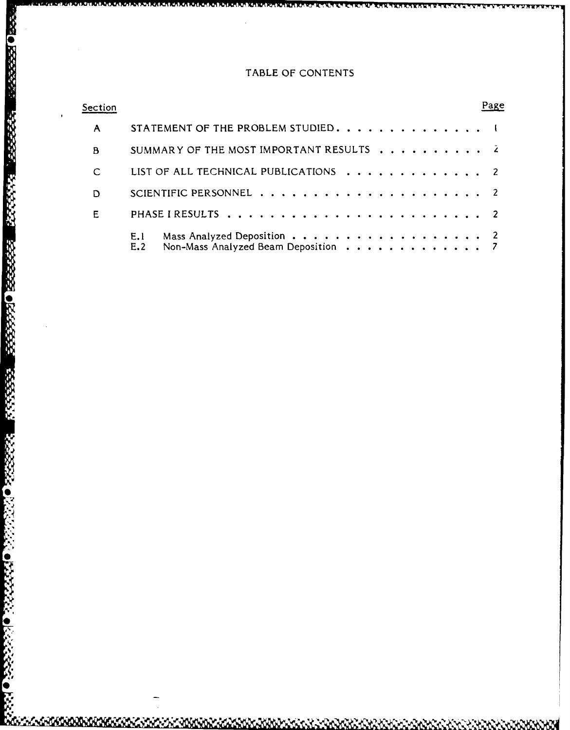# TABLE OF **CONTENTS**

| Section |             |                                                                   | Page |
|---------|-------------|-------------------------------------------------------------------|------|
| A       |             | STATEMENT OF THE PROBLEM STUDIED. 1                               |      |
| B       |             | SUMMARY OF THE MOST IMPORTANT RESULTS 2                           |      |
| C       |             | LIST OF ALL TECHNICAL PUBLICATIONS 2                              |      |
| D       |             |                                                                   |      |
| Е       |             |                                                                   |      |
|         | E, I<br>E.2 | Mass Analyzed Deposition 2<br>Non-Mass Analyzed Beam Deposition 7 |      |

ROCKSON RESERVED BESSEES TO CONSIDERATIONS

2222220

**ORSPERS** 

b.<br>Do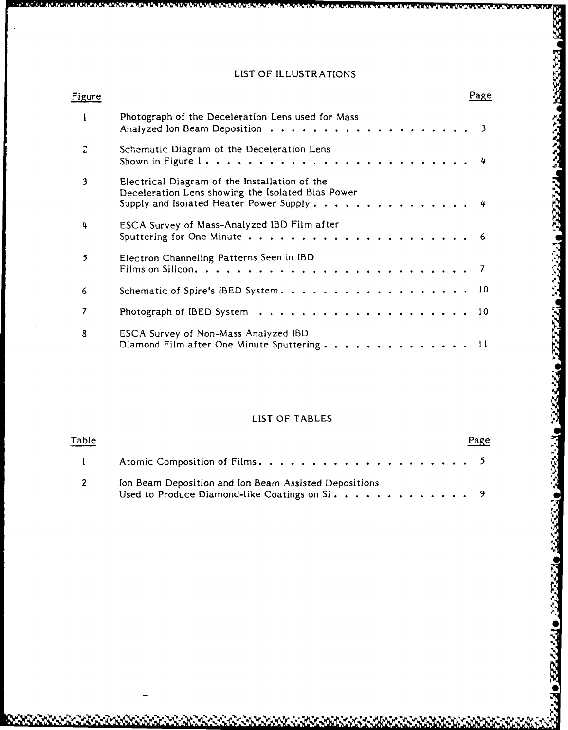# LIST OF ILLUSTRATIONS

| Figure |                                                                                                                                                | Page |
|--------|------------------------------------------------------------------------------------------------------------------------------------------------|------|
|        | Photograph of the Deceleration Lens used for Mass                                                                                              |      |
|        | Schematic Diagram of the Deceleration Lens                                                                                                     |      |
| 3      | Electrical Diagram of the Installation of the<br>Deceleration Lens showing the Isolated Bias Power<br>Supply and Isolated Heater Power Supply4 |      |
| 4      | ESCA Survey of Mass-Analyzed IBD Film after                                                                                                    |      |
| 5      | Electron Channeling Patterns Seen in IBD                                                                                                       |      |
| 6      | Schematic of Spire's IBED System. 10                                                                                                           |      |
|        |                                                                                                                                                |      |
| 8      | ESCA Survey of Non-Mass Analyzed IBD                                                                                                           |      |

# LIST OF TABLES

්රයක් නියෝජයේ

**22444** 

Ŋ

| <u>Table</u>             |                                                                                                                                                                          | Page |  |
|--------------------------|--------------------------------------------------------------------------------------------------------------------------------------------------------------------------|------|--|
| $\mathbf{1}$             | Atomic Composition of Films. $\ldots$ . $\ldots$ . $\ldots$ . $\ldots$ . $\ldots$ . 5                                                                                    |      |  |
| $\overline{\phantom{a}}$ | Ion Beam Deposition and Ion Beam Assisted Depositions<br>Used to Produce Diamond-like Coatings on $Si \cdot \cdot \cdot \cdot \cdot \cdot \cdot \cdot \cdot \cdot \cdot$ |      |  |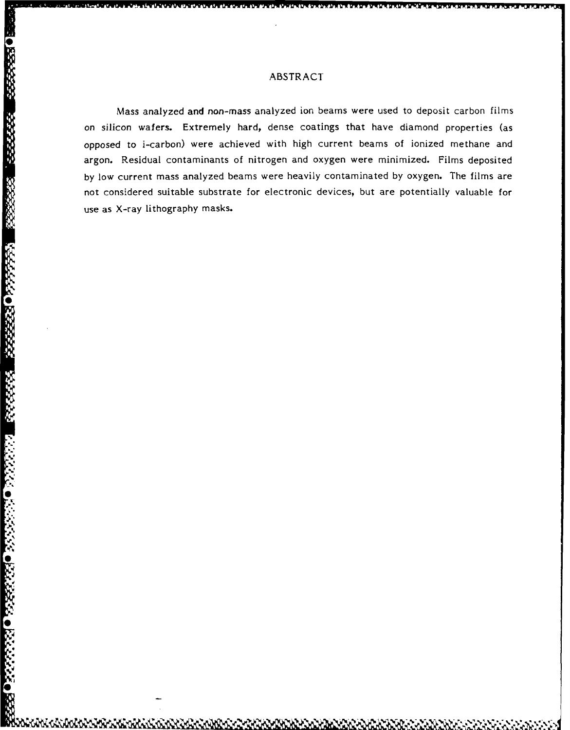Mass analyzed and non-mass analyzed ion beams were used to deposit carbon films on silicon wafers. Extremely hard, dense coatings that have diamond properties (as opposed to i-carbon) were achieved with high current beams of ionized methane and argon. Residual contaminants of nitrogen and oxygen were minimized. Films deposited by low current mass analyzed beams were heavily contaminated by oxygen. The films are not considered suitable substrate for electronic devices, but are potentially valuable for use as X-ray lithography masks.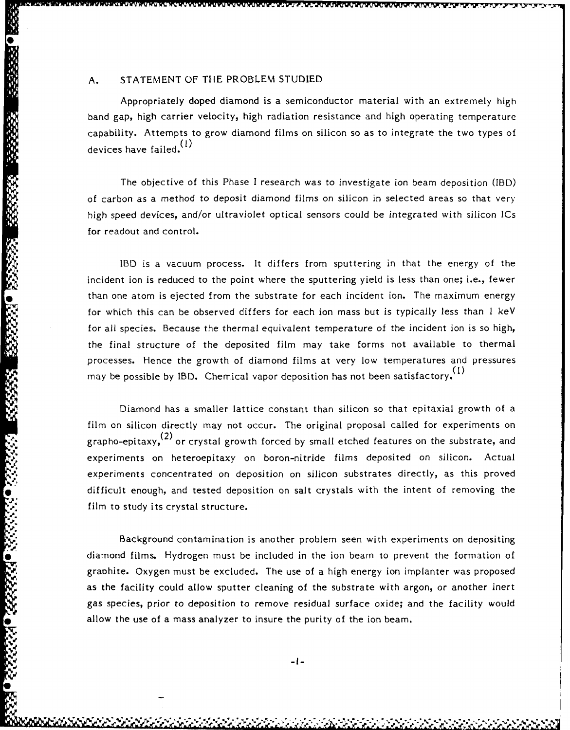Appropriately doped diamond is a semiconductor material with an extremely high band gap, high carrier velocity, high radiation resistance and high operating temperature capability. Attempts to grow diamond films on silicon so as to integrate the two types of devices have failed.  $\binom{1}{1}$ 

The objective of this Phase I research was to investigate ion beam deposition (IBD) of carbon as a method to deposit diamond films on silicon in selected areas so that very high speed devices, and/or ultraviolet optical sensors could be integrated with silicon ICs for readout and control.

IBD is a vacuum process. It differs from sputtering in that the energy of the incident ion is reduced to the point where the sputtering yield is less than one; i.e., fewer than one atom is ejected from the substrate for each incident ion. The maximum energy for which this can be observed differs for each ion mass but is typically less than 1 keV for all species. Because the thermal equivalent temperature of the incident ion is so high, the final structure of the deposited film may take forms not available to thermal processes. Hence the growth of diamond films at very low temperatures and pressures may be possible by IBD. Chemical vapor deposition has not been satisfactory.<sup>(1)</sup>

Diamond has a smaller lattice constant than silicon so that epitaxial growth of a film on silicon directly may not occur. The original proposal called for experiments on grapho-epitaxy,<sup>(2)</sup> or crystal growth forced by small etched features on the substrate, and experiments on heteroepitaxy on boron-nitride films deposited on silicon. Actual experiments concentrated on deposition on silicon substrates directly, as this proved difficult enough, and tested deposition on salt crystals with the intent of removing the film to study its crystal structure.

Background contamination is another problem seen with experiments on depositing diamond films. Hydrogen must be included in the ion beam to prevent the formation of graohite. Oxygen must be excluded. The use of a high energy ion implanter was proposed as the facility could allow sputter cleaning of the substrate with argon, or another inert gas species, prior to deposition to remove residual surface oxide; and the facility would allow the use of a mass analyzer to insure the purity of the ion beam.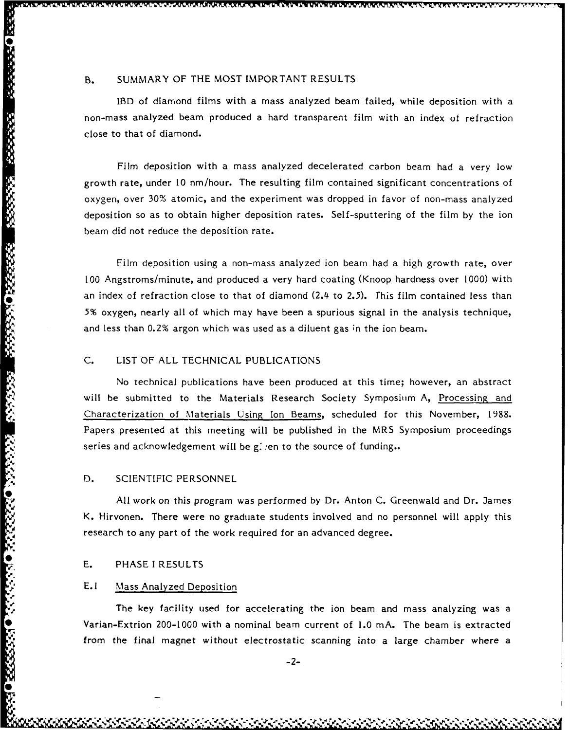IBD of diamond films with a mass analyzed beam failed, while deposition with a non-mass analyzed beam produced a hard transparent film with an index of refraction close to that of diamond.

Film deposition with a mass analyzed decelerated carbon beam had a very low growth rate, under **10** nm/hour. The resulting film contained significant concentrations of oxygen, over 30% atomic, and the experiment was dropped in favor of non-mass analyzed deposition so as to obtain higher deposition rates. Self-sputtering of the film by the ion beam did not reduce the deposition rate.

Film deposition using a non-mass analyzed ion beam had a high growth rate, over **100** Angstroms/minute, and produced a very hard coating (Knoop hardness over 1000) with an index of refraction close to that of diamond (2.4 to 2.5). This film contained less than **5%** oxygen, nearly all of which may have been a spurious signal in the analysis technique, and less than 0.2% argon which was used as a diluent gas in the ion beam.

## C. LIST OF ALL TECHNICAL PUBLICATIONS

No technical publications have been produced at this time; however, an abstract will be submitted to the Materials Research Society Symposium **A,** Processing and Characterization of Materials Using Ion Beams, scheduled for this November, 1988. Papers presented at this meeting will be published in the MRS Symposium proceedings series and acknowledgement will be given to the source of funding..

#### **D.** SCIENTIFIC PERSONNEL

**SOCIETY CONTROL SESSION SESSIONS** 

555555

**RANACISSORIA OPANACISSESSE** 

All work on this program was performed by Dr. Anton C. Greenwald and Dr. James K. Hirvonen. There were no graduate students involved and no personnel will apply this research to any part of the work required for an advanced degree.

#### E. PHASE I RESULTS

### **E.I** Mass Analyzed Deposition

The key facility used for accelerating the ion beam and mass analyzing was a Varian-Extrion 200-1000 with a nominal beam current of 1.0 mA. The beam is extracted from the final magnet without electrostatic scanning into a large chamber where a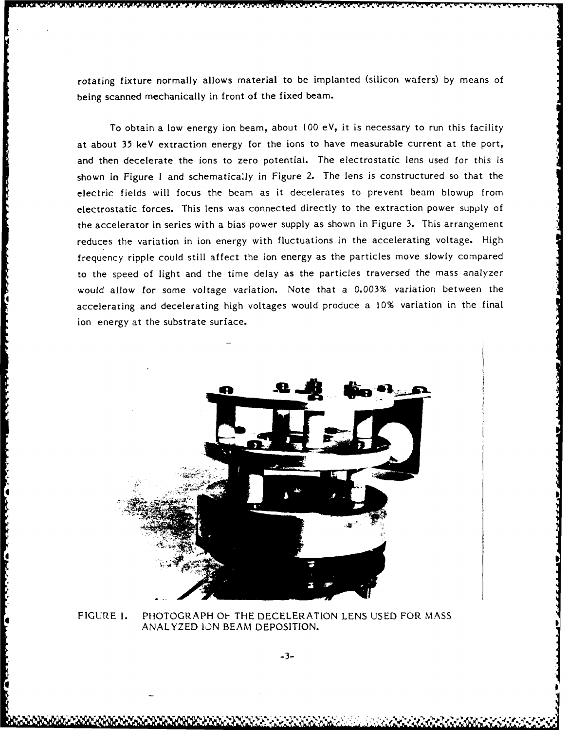rotating fixture normally allows material to be implanted (silicon wafers) by means of being scanned mechanically in front of the fixed beam.

To obtain a low energy ion beam, about **100** eV, it is necessary to run this facility at about 35 keV extraction energy for the ions to have measurable current at the port, and then decelerate the ions to zero potential. The electrostatic lens used for this is shown in Figure I and schematicaly in Figure 2. The lens is constructured so that the electric fields will focus the beam as it decelerates to prevent beam blowup from electrostatic forces. This lens was connected directly to the extraction power supply of the accelerator in series with a bias power supply as shown in Figure 3. This arrangement reduces the variation in ion energy with fluctuations in the accelerating voltage. High frequency ripple could still affect the ion energy as the particles move slowly compared to the speed of light and the time delay as the particles traversed the mass analyzer would allow for some voltage variation. Note that a 0.003% variation between the accelerating and decelerating high voltages would produce a **10%** variation in the final ion energy at the substrate surface.



FIGURE **1.** PHOTOGRAPH OF THE DECELERATION LENS USED FOR MASS ANALYZED **lJN** BEAM DEPOSITION.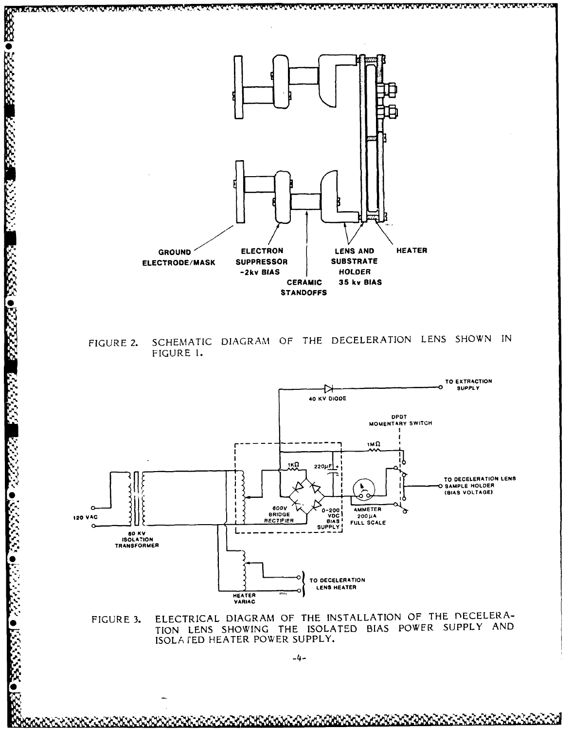

1222224

122221

88888022223

13335557

 $-2555550$ 

<u>UK IN ZING TANG PANG TANG PANG TANG PANG TANG PANG TA</u>

SCHEMATIC DIAGRAM OF THE DECELERATION LENS SHOWN IN FIGURE 2. FIGURE 1.



ELECTRICAL DIAGRAM OF THE INSTALLATION OF THE DECELERA-FIGURE 3. TION LENS SHOWING THE ISOLATED BIAS POWER SUPPLY AND ISOLA JED HEATER POWER SUPPLY.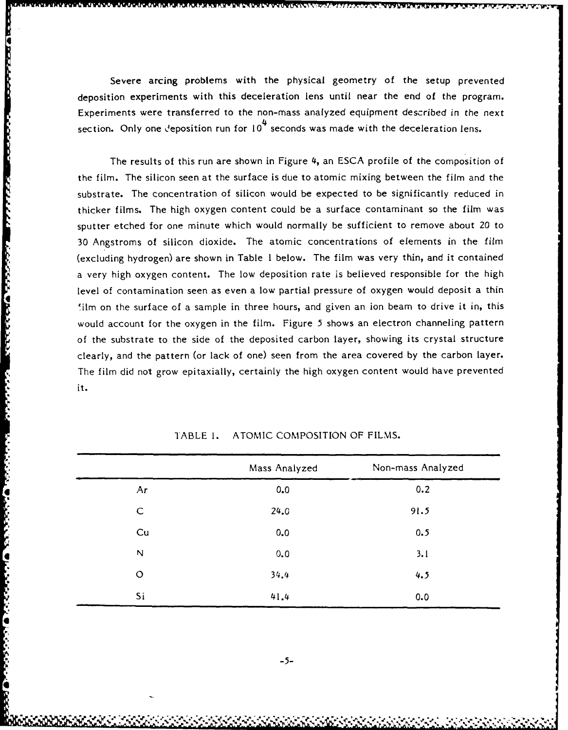Severe arcing problems with the physical geometry of the setup prevented deposition experiments with this deceleration lens until near the end of the program. Experiments were transferred to the non-mass analyzed equipment described in the next section. Only one deposition run for  $10<sup>4</sup>$  seconds was made with the deceleration lens.

4

あいしんしん しんこうどうしゃ マウンシング

**CHILL** 

**CANCE** 

The results of this run are shown in Figure 4, an ESCA profile of the composition of the film. The silicon seen at the surface is due to atomic mixing between the film and the substrate. The concentration of silicon would be expected to be significantly reduced in thicker films. The high oxygen content could be a surface contaminant so the film was sputter etched for one minute which would normally be sufficient to remove about 20 to 30 Angstroms of silicon dioxide. The atomic concentrations of elements in the film (excluding hydrogen) are shown in Table I below. The film was very thin, and it contained a very high oxygen content. The low deposition rate is believed responsible for the high level of contamination seen as even a low partial pressure of oxygen would deposit a thin 'ilm on the surface of a sample in three hours, and given an ion beam to drive it in, this would account for the oxygen in the film. Figure 5 shows an electron channeling pattern of the substrate to the side of the deposited carbon layer, showing its crystal structure clearly, and the pattern (or lack of one) seen from the area covered by the carbon layer. The film did not grow epitaxially, certainly the high oxygen content would have prevented it.

|             | Mass Analyzed | Non-mass Analyzed |
|-------------|---------------|-------------------|
| Ar          | 0.0           | 0.2               |
| $\mathsf C$ | 24.0          | 91.5              |
| Cu          | 0.0           | 0.5               |
| N           | 0.0           | 3.1               |
| $\circ$     | 34.4          | 4.5               |
| Si          | 41.4          | 0.0               |

TABLE **1.** ATOMIC COMPOSITION OF FILMS.

**-5-**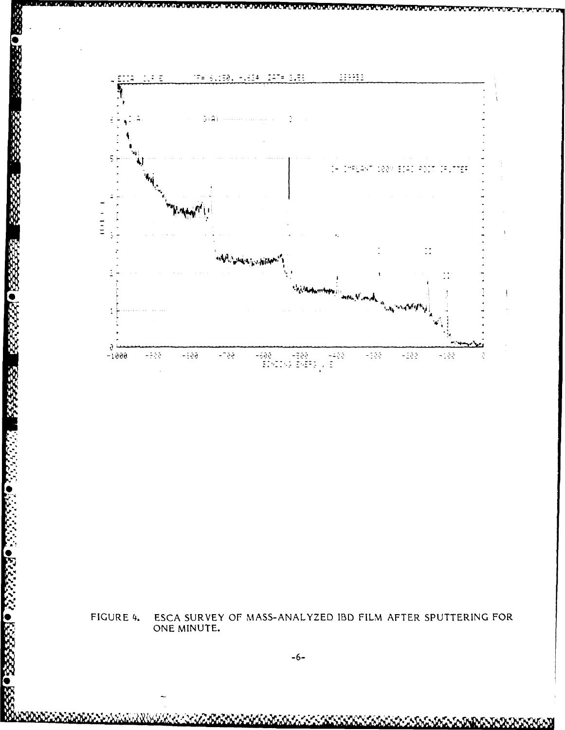

ESCA SURVEY OF MASS-ANALYZED IBD FILM AFTER SPUTTERING FOR ONE MINUTE. FIGURE 4.

923303434375

ANNA XA GERMANIA A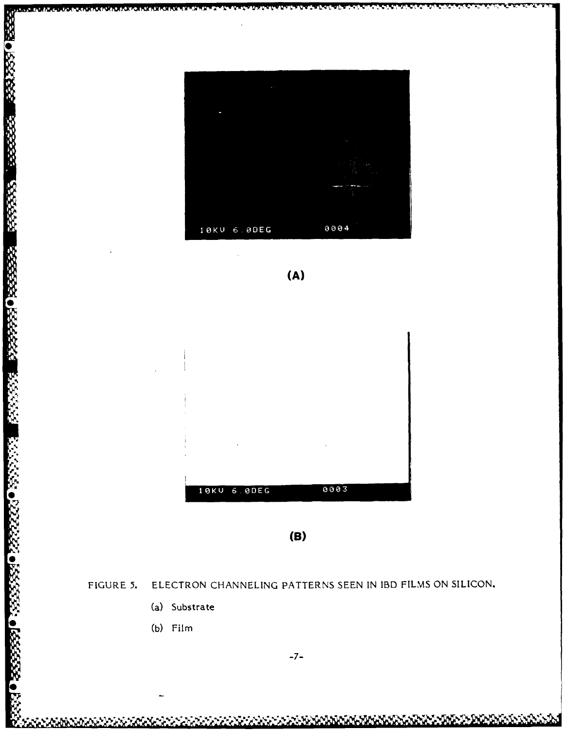





 $(B)$ 

FIGURE 5. ELECTRON CHANNELING PATTERNS SEEN IN IBD FILMS ON SILICON.

- (a) Substrate
- (b) Film

**PRODUCT AND DESCRIPTIONS** 

333330 23333

333353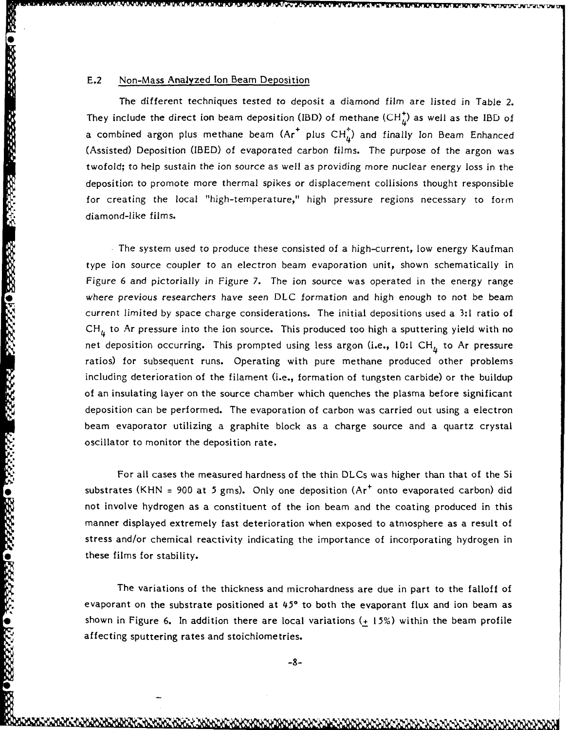## E.2 Non-Mass Analyzed Ion Beam Deposition

as o presente presenta presenta presentato presentato

る●路安安全 ●路安全

The different techniques tested to deposit a diamond film are listed in Table 2. They include the direct ion beam deposition (IBD) of methane  $(CH<sub>h</sub><sup>+</sup>)$  as well as the IBD of a combined argon plus methane beam  $\left( Ar^+ \right)$  plus  $CH^+_4$ ) and finally Ion Beam Enhanced (Assisted) Deposition (IBED) of evaporated carbon films. The purpose of the argon was twofold; to help sustain the ion source as well as providing more nuclear energy loss in the deposition to promote more thermal spikes or displacement collisions thought responsible for creating the local "high-temperature," high pressure regions necessary to form diamond-like films.

**.** The system used to produce these consisted of a high-current, low energy Kaufman type ion source coupler to an electron beam evaporation unit, shown schematically in Figure 6 and pictorially in Figure 7. The ion source was operated in the energy range where previous researchers have seen DLC formation and high enough to not be beam current limited by space charge considerations. The initial depositions used a **3:1** ratio of CH<sub>4</sub> to Ar pressure into the ion source. This produced too high a sputtering yield with no net deposition occurring. This prompted using less argon (i.e., 10:1 CH<sub> $<sub>h</sub>$ </sub> to Ar pressure</sub> ratios) for subsequent runs. Operating with pure methane produced other problems including deterioration of the filament (i.e., formation of tungsten carbide) or the buildup of an insulating layer on the source chamber which quenches the plasma before significant deposition can be performed. The evaporation of carbon was carried out using a electron beam evaporator utilizing a graphite block as a charge source and a quartz crystal oscillator to monitor the deposition rate.

For all cases the measured hardness of the thin DLCs was higher than that of the Si substrates (KHN = 900 at 5 gms). Only one deposition (Ar<sup>+</sup> onto evaporated carbon) did not involve hydrogen as a constituent of the ion beam and the coating produced in this manner displayed extremely fast deterioration when exposed to atmosphere as a result of stress and/or chemical reactivity indicating the importance of incorporating hydrogen in these films for stability.

The variations of the thickness and microhardness are due in part to the falloff of evaporant on the substrate positioned at **450** to both the evaporant flux and ion beam as shown in Figure 6. In addition there are local variations ( $\pm$  15%) within the beam profile affecting sputtering rates and stoichiome tries.

 $-8-$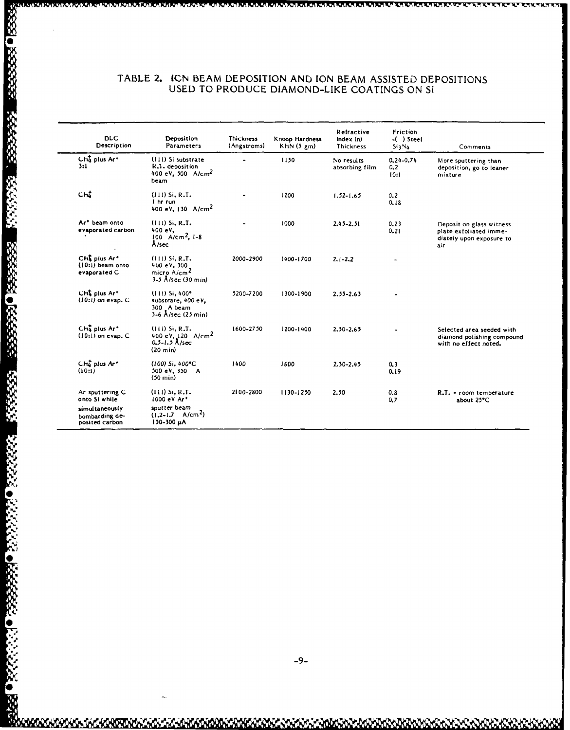### TABLE 2. **ICN** BEAM **DEPOSITION AND** ION BEAM **ASSISTED DEPOSITIONS USED** TO **PRODUCE DIAMOND-LIKE** COATINGS **ON** Si

| <b>DLC</b><br>Description                                                              | Deposition<br>Parameters                                                                    | <b>Thickness</b><br>(Angstroms) | Knoop Hardness<br>KHN(5 gm) | Refractive<br>Index(n)<br><b>Thickness</b> | Friction<br>$-( )$ Steel<br>Si 3 No | Comments                                                                              |
|----------------------------------------------------------------------------------------|---------------------------------------------------------------------------------------------|---------------------------------|-----------------------------|--------------------------------------------|-------------------------------------|---------------------------------------------------------------------------------------|
| Che plus Ar <sup>+</sup><br>3:1                                                        | (111) Si substrate<br>R.1. deposition<br>400 eV, 500 $A/cm^2$<br>beam                       |                                 | 1150                        | No results<br>absorbing film               | $0.24 - 0.74$<br>0, 2<br>10:1       | More sputtering than<br>deposition, go to leaner<br>mixture                           |
| Ch.                                                                                    | $(111)$ Si, R.T.<br>I hr run<br>400 eV, $130$ A/cm <sup>2</sup>                             |                                 | 1200                        | $1.52 - 1.65$                              | 0, 2<br>0.18                        |                                                                                       |
| Ar <sup>+</sup> beam onto<br>evaporated carbon                                         | $(111)$ Si, R.T.<br>400 eV<br>$100 A/cm^2$ , $1-8$<br>A/sec                                 |                                 | 1000                        | $2.45 - 2.51$                              | 0, 23<br>0.21                       | Deposit on glass witness<br>plate exfoliated imme-<br>diately upon exposure to<br>air |
| CHI plus Ar <sup>+</sup><br>(10:1) beam onto<br>evaporated C                           | $(111)$ Si, R.T.<br>400 eV, 300<br>micro A/cm <sup>2</sup><br>3-5 Å/sec (30 min)            | 2000-2900                       | 1400-1700                   | $2.1 - 2.2$                                | $\blacksquare$                      |                                                                                       |
| CHt plus Ar*<br>$(10:1)$ on evap. $C$                                                  | $(111)$ Si, $400^{\circ}$<br>substrate, 400 eV.<br>300 A beam<br>3-6 Å/sec (25 min)         | 5200-7200                       | 1300-1900                   | 2.55-2.63                                  |                                     |                                                                                       |
| $Cha$ plus $Ar+$<br>$(10:1)$ on evap. $C$                                              | $(111)$ Si, R.T.<br>400 eV, 120 $A/cm^2$<br>$0.5 - 1.5$ A/sec<br>$(20 \text{ min})$         | 1600-2750                       | 1200-1400                   | 2.50-2.65                                  |                                     | Selected area seeded with<br>diamond polishing compound<br>with no effect noted.      |
| CH4 plus Ar <sup>+</sup><br>(10:1)                                                     | (100) Si, 400°C<br>500 eV, 350 A<br>$(50 \text{ min})$                                      | 1400                            | 1600                        | 2.30-2.45                                  | 0.3<br>0.19                         |                                                                                       |
| Ar sputtering C<br>onto Si while<br>simultaneously<br>bombarding de-<br>posited carbon | $(111)$ Si, R.T.<br>1000 eV Ar*<br>soutter beam<br>$(1.2-1.7 \text{ A/cm}^2)$<br>150-300 µA | 2100-2800                       | 1130-1250                   | 2.50                                       | 0,8<br>0,7                          | $R.T. = room temperature$<br>about 25°C                                               |

**0**

XXX

●

※ 1255550 5555553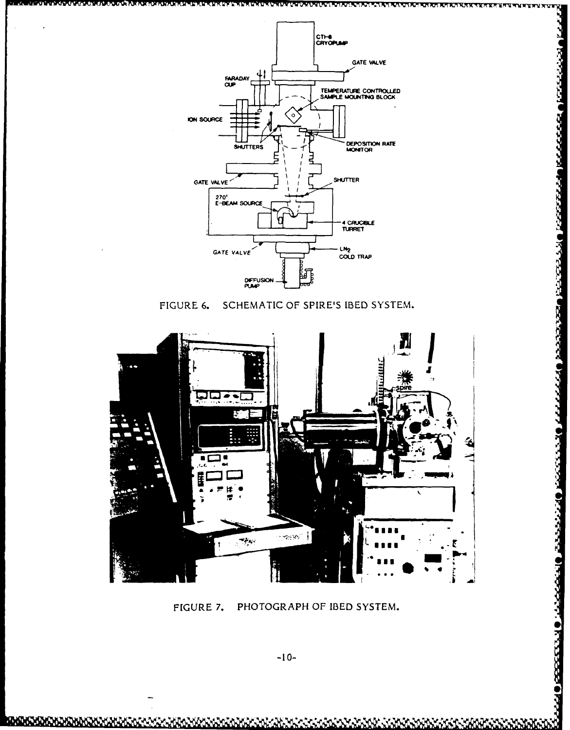

<u>ممتعال</u>

NGGGGGGA BGGGGGGA NGGGGGA KAGASA NGGGGA G

والمكفاعات

Okamasa Onamara Ohmandin Okanasa Ohn

SCHEMATIC OF SPIRE'S IBED SYSTEM. FIGURE 6.



PHOTOGRAPH OF IBED SYSTEM. FIGURE 7.

 $-10-$